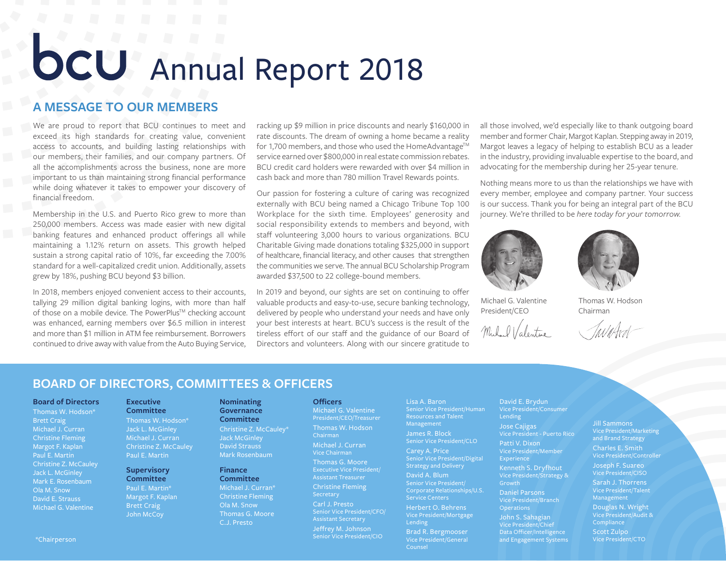# **OCU** Annual Report 2018

# **A MESSAGE TO OUR MEMBERS**

We are proud to report that BCU continues to meet and exceed its high standards for creating value, convenient access to accounts, and building lasting relationships with our members, their families, and our company partners. Of all the accomplishments across the business, none are more important to us than maintaining strong financial performance while doing whatever it takes to empower your discovery of financial freedom.

Membership in the U.S. and Puerto Rico grew to more than 250,000 members. Access was made easier with new digital banking features and enhanced product offerings all while maintaining a 1.12% return on assets. This growth helped sustain a strong capital ratio of 10%, far exceeding the 7.00% standard for a well-capitalized credit union. Additionally, assets grew by 18%, pushing BCU beyond \$3 billion.

In 2018, members enjoyed convenient access to their accounts, tallying 29 million digital banking logins, with more than half of those on a mobile device. The PowerPlus™ checking account was enhanced, earning members over \$6.5 million in interest and more than \$1 million in ATM fee reimbursement. Borrowers continued to drive away with value from the Auto Buying Service, racking up \$9 million in price discounts and nearly \$160,000 in rate discounts. The dream of owning a home became a reality for 1,700 members, and those who used the HomeAdvantage™ service earned over \$800,000 in real estate commission rebates. BCU credit card holders were rewarded with over \$4 million in cash back and more than 780 million Travel Rewards points.

Our passion for fostering a culture of caring was recognized externally with BCU being named a Chicago Tribune Top 100 Workplace for the sixth time. Employees' generosity and social responsibility extends to members and beyond, with staff volunteering 3,000 hours to various organizations. BCU Charitable Giving made donations totaling \$325,000 in support of healthcare, financial literacy, and other causes that strengthen the communities we serve. The annual BCU Scholarship Program awarded \$37,500 to 22 college-bound members.

In 2019 and beyond, our sights are set on continuing to offer valuable products and easy-to-use, secure banking technology, delivered by people who understand your needs and have only your best interests at heart. BCU's success is the result of the tireless effort of our staff and the guidance of our Board of Directors and volunteers. Along with our sincere gratitude to

all those involved, we'd especially like to thank outgoing board member and former Chair, Margot Kaplan. Stepping away in 2019, Margot leaves a legacy of helping to establish BCU as a leader in the industry, providing invaluable expertise to the board, and advocating for the membership during her 25-year tenure.

Nothing means more to us than the relationships we have with every member, employee and company partner. Your success is our success. Thank you for being an integral part of the BCU journey. We're thrilled to be *here today for your tomorrow*.





Michael G. Valentine President/CEO

Thomas W. Hodson Chairman

# **BOARD OF DIRECTORS, COMMITTEES & OFFICERS**

**Nominating Governance Committee** Christine Z. McCauley\* Jack McGinley David Strauss Mark Rosenbaum

**Finance Committee** Michael J. Curran\* Christine Fleming Ola M. Snow Thomas G. Moore C.J. Presto

## **Board of Directors**

Thomas W. Hodson\* Brett Craig Michael J. Curran Christine Fleming Margot F. Kaplan Paul E. Martin Christine Z. McCauley Jack L. McGinley Mark E. Rosenbaum Ola M. Snow David E. Strauss Michael G. Valentine

## **Executive**

**Committee** Thomas W. Hodson\* Jack L. McGinley Michael J. Curran Christine Z. McCauley Paul E. Martin

## **Supervisory Committee**

Paul E. Martin\* Margot F. Kaplan Brett Craig John McCoy

#### **Officers**

Michael G. Valentine President/CEO/Treasurer Thomas W. Hodson Chairman Michael J. Curran Vice Chairman Thomas G. Moore Executive Vice President/ Assistant Treasurer Christine Fleming **Secretary** Carl J. Presto Assistant Secretary Jeffrey M. Johnson Senior Vice President/CIO Lisa A. Baron Senior Vice President/Human Resources and Talent James R. Block Senior Vice President/CLO

Carey A. Price Senior Vice President/Digital Strategy and Delivery

David A. Blum Senior Vice President/ Corporate Relationships/U.S. Service Centers Herbert O. Behrens Vice President/Mortgage Lending

Brad R. Bergmooser Vice President/General Counsel

David E. Brydun Vice President/Consumer Jose Cajigas Vice President - Puerto Rico Patti V. Dixon Vice President/Member Experience Kenneth S. Dryfhout Vice President/Strategy & Growth

Daniel Parsons Vice President/Branch **Operations** John S. Sahagian

Vice President/Chief Data Officer/Intelligence and Engagement Systems \*Chairperson Vice President/CTO

Jill Sammons Vice President/Marketing and Brand Strategy Charles E. Smith Vice President/Controller Joseph F. Suareo

Vice President/CISO Sarah J. Thorrens Management

Douglas N. Wright Vice President/Audit & **Compliance** 

Scott Zulpo<br>Vice President/CTO